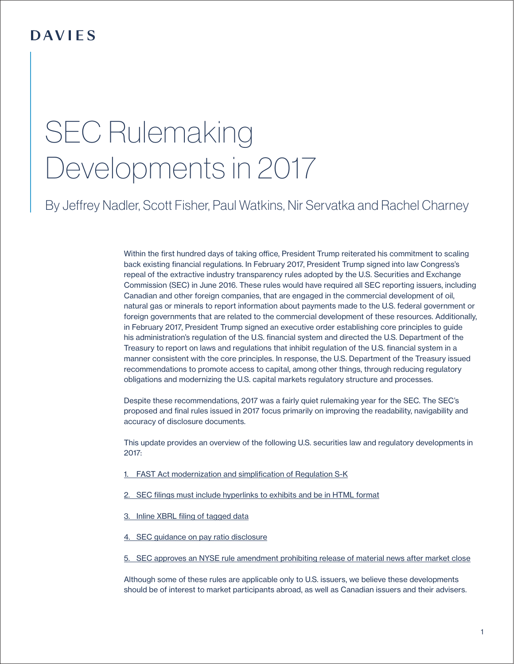# SEC Rulemaking Developments in 2017

By [Jeffrey Nadler,](https://www.dwpv.com/en/People/Jeffrey-Nadler) Scott Fisher, [Paul Watkins](https://www.dwpv.com/en/People/Paul-Watkins), [Nir Servatka](https://www.dwpv.com/en/People/Nir-Servatka) and Rachel Charney

Within the first hundred days of taking office, President Trump reiterated his commitment to scaling back existing financial regulations. In February 2017, President Trump signed into law Congress's repeal of the extractive industry transparency rules adopted by the U.S. Securities and Exchange Commission (SEC) in June 2016. These rules would have required all SEC reporting issuers, including Canadian and other foreign companies, that are engaged in the commercial development of oil, natural gas or minerals to report information about payments made to the U.S. federal government or foreign governments that are related to the commercial development of these resources. Additionally, in February 2017, President Trump signed an executive order establishing core principles to guide his administration's regulation of the U.S. financial system and directed the U.S. Department of the Treasury to report on laws and regulations that inhibit regulation of the U.S. financial system in a manner consistent with the core principles. In response, the U.S. Department of the Treasury issued recommendations to promote access to capital, among other things, through reducing regulatory obligations and modernizing the U.S. capital markets regulatory structure and processes.

Despite these recommendations, 2017 was a fairly quiet rulemaking year for the SEC. The SEC's proposed and final rules issued in 2017 focus primarily on improving the readability, navigability and accuracy of disclosure documents.

This update provides an overview of the following U.S. securities law and regulatory developments in 2017:

- 1. [FAST Act modernization and simplification of Regulation S-K](#page-3-0)
- 2. [SEC filings must include hyperlinks to exhibits and be in HTML format](#page-6-0)
- 3. [Inline XBRL filing of tagged data](#page-8-0)
- 4. [SEC guidance on pay ratio disclosure](#page-10-0)
- 5. [SEC approves an NYSE rule amendment prohibiting release of material news after market close](#page-12-0)

Although some of these rules are applicable only to U.S. issuers, we believe these developments should be of interest to market participants abroad, as well as Canadian issuers and their advisers.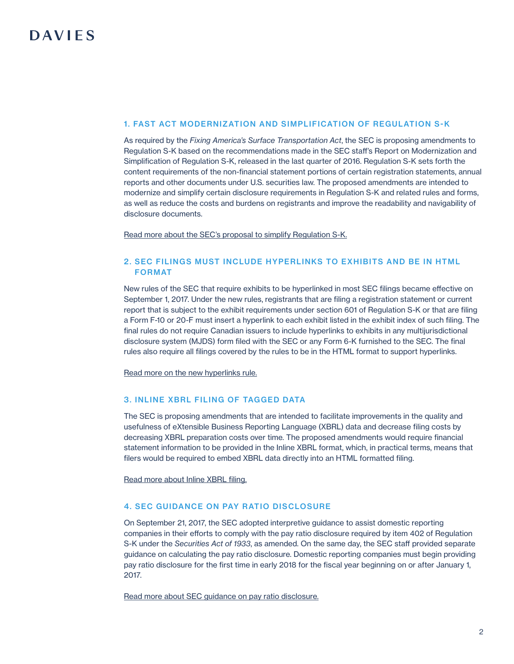#### 1. FAST ACT MODERNIZATION AND SIMPLIFICATION OF REGULATION S-K

As required by the *Fixing America's Surface Transportation Act*, the SEC is proposing amendments to Regulation S-K based on the recommendations made in the SEC staff's Report on Modernization and Simplification of Regulation S-K, released in the last quarter of 2016. Regulation S-K sets forth the content requirements of the non-financial statement portions of certain registration statements, annual reports and other documents under U.S. securities law. The proposed amendments are intended to modernize and simplify certain disclosure requirements in Regulation S-K and related rules and forms, as well as reduce the costs and burdens on registrants and improve the readability and navigability of disclosure documents.

[Read more about the SEC's proposal to simplify Regulation S-K.](#page-3-0)

## 2. SEC FILINGS MUST INCLUDE HYPERLINKS TO EXHIBITS AND BE IN HTML FORMAT

New rules of the SEC that require exhibits to be hyperlinked in most SEC filings became effective on September 1, 2017. Under the new rules, registrants that are filing a registration statement or current report that is subject to the exhibit requirements under section 601 of Regulation S-K or that are filing a Form F-10 or 20-F must insert a hyperlink to each exhibit listed in the exhibit index of such filing. The final rules do not require Canadian issuers to include hyperlinks to exhibits in any multijurisdictional disclosure system (MJDS) form filed with the SEC or any Form 6-K furnished to the SEC. The final rules also require all filings covered by the rules to be in the HTML format to support hyperlinks.

[Read more on the new hyperlinks rule.](#page-6-0)

### 3. INLINE XBRL FILING OF TAGGED DATA

The SEC is proposing amendments that are intended to facilitate improvements in the quality and usefulness of eXtensible Business Reporting Language (XBRL) data and decrease filing costs by decreasing XBRL preparation costs over time. The proposed amendments would require financial statement information to be provided in the Inline XBRL format, which, in practical terms, means that filers would be required to embed XBRL data directly into an HTML formatted filing.

[Read more about Inline XBRL filing.](#page-8-0)

### 4. SEC GUIDANCE ON PAY RATIO DISCLOSURE

On September 21, 2017, the SEC adopted interpretive guidance to assist domestic reporting companies in their efforts to comply with the pay ratio disclosure required by item 402 of Regulation S-K under the *Securities Act of 1933*, as amended. On the same day, the SEC staff provided separate guidance on calculating the pay ratio disclosure. Domestic reporting companies must begin providing pay ratio disclosure for the first time in early 2018 for the fiscal year beginning on or after January 1, 2017.

[Read more about SEC guidance on pay ratio disclosure.](#page-10-0)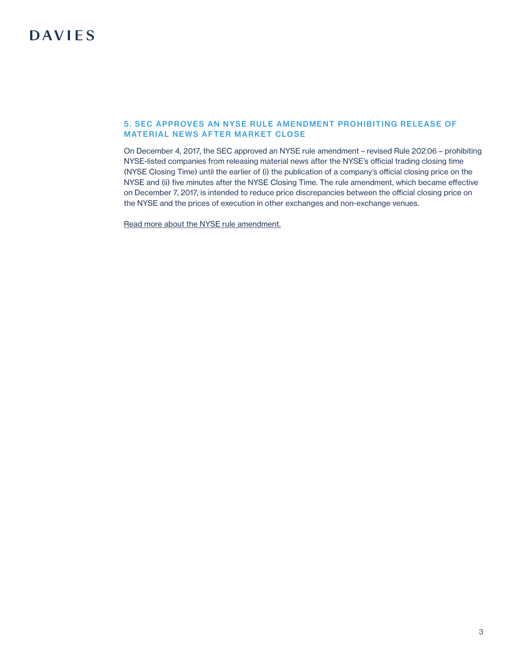## 5. SEC APPROVES AN NYSE RULE AMENDMENT PROHIBITING RELEASE OF MATERIAL NEWS AFTER MARKET CLOSE

On December 4, 2017, the SEC approved an NYSE rule amendment – revised Rule 202.06 – prohibiting NYSE-listed companies from releasing material news after the NYSE's official trading closing time (NYSE Closing Time) until the earlier of (i) the publication of a company's official closing price on the NYSE and (ii) five minutes after the NYSE Closing Time. The rule amendment, which became effective on December 7, 2017, is intended to reduce price discrepancies between the official closing price on the NYSE and the prices of execution in other exchanges and non-exchange venues.

[Read more about the NYSE rule amendment.](#page-12-0)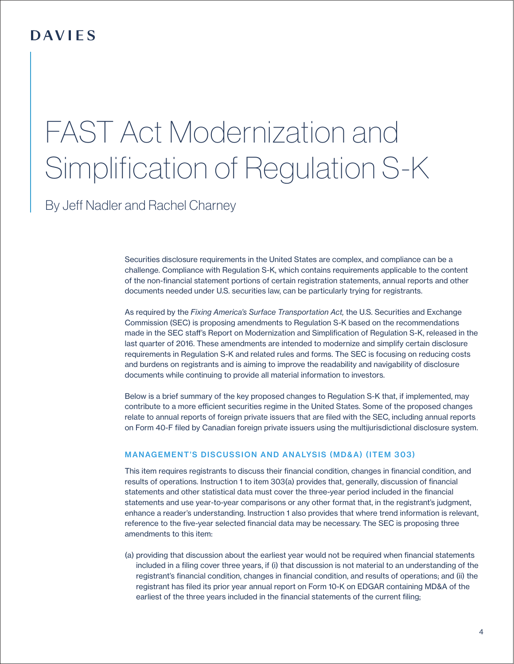# <span id="page-3-0"></span>FAST Act Modernization and Simplification of Regulation S-K

By [Jeff Nadler](https://www.dwpv.com/en/People/Jeffrey-Nadler) and Rachel Charney

Securities disclosure requirements in the United States are complex, and compliance can be a challenge. Compliance with Regulation S-K, which contains requirements applicable to the content of the non-financial statement portions of certain registration statements, annual reports and other documents needed under U.S. securities law, can be particularly trying for registrants.

As required by the *Fixing America's Surface Transportation Act,* the U.S. Securities and Exchange Commission (SEC) is proposing amendments to Regulation S-K based on the recommendations made in the SEC staff's Report on Modernization and Simplification of Regulation S-K, released in the last quarter of 2016. These amendments are intended to modernize and simplify certain disclosure requirements in Regulation S-K and related rules and forms. The SEC is focusing on reducing costs and burdens on registrants and is aiming to improve the readability and navigability of disclosure documents while continuing to provide all material information to investors.

Below is a brief summary of the key proposed changes to Regulation S-K that, if implemented, may contribute to a more efficient securities regime in the United States. Some of the proposed changes relate to annual reports of foreign private issuers that are filed with the SEC, including annual reports on Form 40-F filed by Canadian foreign private issuers using the multijurisdictional disclosure system.

## MANAGEMENT'S DISCUSSION AND ANALYSIS (MD&A) (ITEM 303)

This item requires registrants to discuss their financial condition, changes in financial condition, and results of operations. Instruction 1 to item 303(a) provides that, generally, discussion of financial statements and other statistical data must cover the three-year period included in the financial statements and use year-to-year comparisons or any other format that, in the registrant's judgment, enhance a reader's understanding. Instruction 1 also provides that where trend information is relevant, reference to the five-year selected financial data may be necessary. The SEC is proposing three amendments to this item:

(a) providing that discussion about the earliest year would not be required when financial statements included in a filing cover three years, if (i) that discussion is not material to an understanding of the registrant's financial condition, changes in financial condition, and results of operations; and (ii) the registrant has filed its prior year annual report on Form 10-K on EDGAR containing MD&A of the earliest of the three years included in the financial statements of the current filing;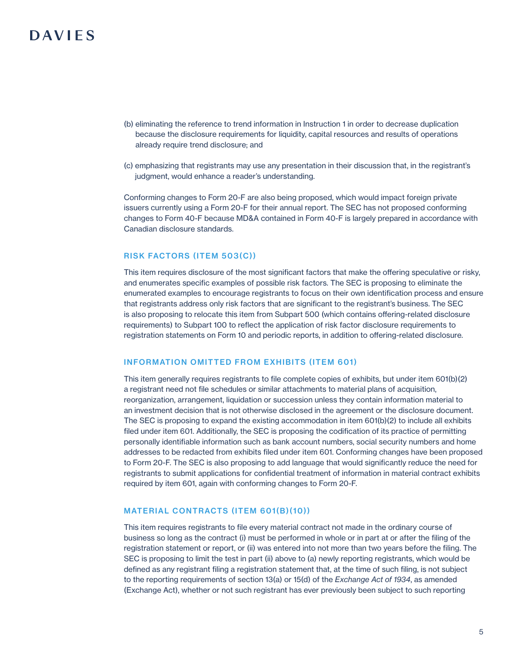- (b) eliminating the reference to trend information in Instruction 1 in order to decrease duplication because the disclosure requirements for liquidity, capital resources and results of operations already require trend disclosure; and
- (c) emphasizing that registrants may use any presentation in their discussion that, in the registrant's judgment, would enhance a reader's understanding.

Conforming changes to Form 20-F are also being proposed, which would impact foreign private issuers currently using a Form 20-F for their annual report. The SEC has not proposed conforming changes to Form 40-F because MD&A contained in Form 40-F is largely prepared in accordance with Canadian disclosure standards.

### RISK FACTORS (ITEM 503(C))

This item requires disclosure of the most significant factors that make the offering speculative or risky, and enumerates specific examples of possible risk factors. The SEC is proposing to eliminate the enumerated examples to encourage registrants to focus on their own identification process and ensure that registrants address only risk factors that are significant to the registrant's business. The SEC is also proposing to relocate this item from Subpart 500 (which contains offering-related disclosure requirements) to Subpart 100 to reflect the application of risk factor disclosure requirements to registration statements on Form 10 and periodic reports, in addition to offering-related disclosure.

#### INFORMATION OMITTED FROM EXHIBITS (ITEM 601)

This item generally requires registrants to file complete copies of exhibits, but under item 601(b)(2) a registrant need not file schedules or similar attachments to material plans of acquisition, reorganization, arrangement, liquidation or succession unless they contain information material to an investment decision that is not otherwise disclosed in the agreement or the disclosure document. The SEC is proposing to expand the existing accommodation in item 601(b)(2) to include all exhibits filed under item 601. Additionally, the SEC is proposing the codification of its practice of permitting personally identifiable information such as bank account numbers, social security numbers and home addresses to be redacted from exhibits filed under item 601. Conforming changes have been proposed to Form 20-F. The SEC is also proposing to add language that would significantly reduce the need for registrants to submit applications for confidential treatment of information in material contract exhibits required by item 601, again with conforming changes to Form 20-F.

### MATERIAL CONTRACTS (ITEM 601(B)(10))

This item requires registrants to file every material contract not made in the ordinary course of business so long as the contract (i) must be performed in whole or in part at or after the filing of the registration statement or report, or (ii) was entered into not more than two years before the filing. The SEC is proposing to limit the test in part (ii) above to (a) newly reporting registrants, which would be defined as any registrant filing a registration statement that, at the time of such filing, is not subject to the reporting requirements of section 13(a) or 15(d) of the *Exchange Act of 1934*, as amended (Exchange Act), whether or not such registrant has ever previously been subject to such reporting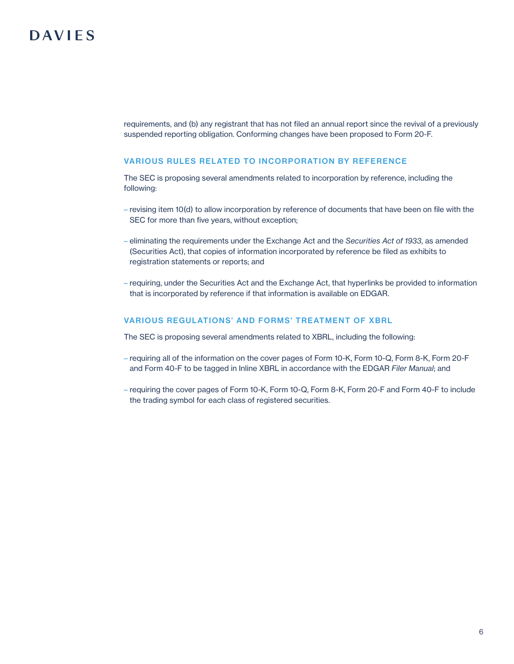requirements, and (b) any registrant that has not filed an annual report since the revival of a previously suspended reporting obligation. Conforming changes have been proposed to Form 20-F.

## VARIOUS RULES RELATED TO INCORPORATION BY REFERENCE

The SEC is proposing several amendments related to incorporation by reference, including the following:

- revising item 10(d) to allow incorporation by reference of documents that have been on file with the SEC for more than five years, without exception;
- eliminating the requirements under the Exchange Act and the *Securities Act of 1933*, as amended (Securities Act), that copies of information incorporated by reference be filed as exhibits to registration statements or reports; and
- requiring, under the Securities Act and the Exchange Act, that hyperlinks be provided to information that is incorporated by reference if that information is available on EDGAR.

### VARIOUS REGULATIONS' AND FORMS' TREATMENT OF XBRL

The SEC is proposing several amendments related to XBRL, including the following:

- requiring all of the information on the cover pages of Form 10-K, Form 10-Q, Form 8-K, Form 20-F and Form 40-F to be tagged in Inline XBRL in accordance with the EDGAR *Filer Manual*; and
- requiring the cover pages of Form 10-K, Form 10-Q, Form 8-K, Form 20-F and Form 40-F to include the trading symbol for each class of registered securities.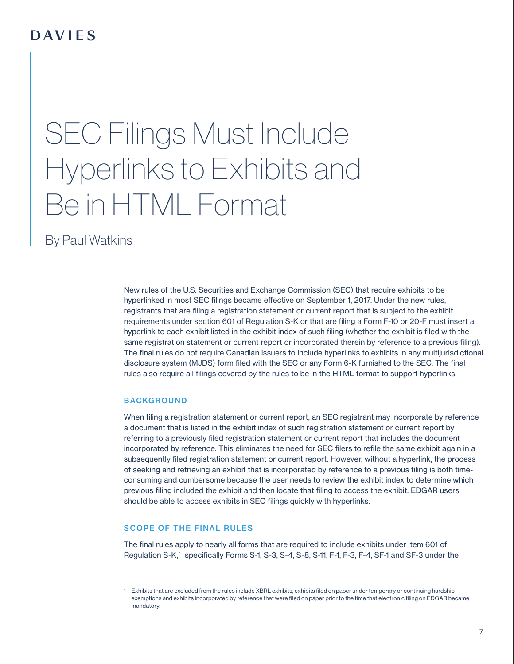# <span id="page-6-0"></span>SEC Filings Must Include Hyperlinks to Exhibits and Be in HTML Format

By [Paul Watkins](https://www.dwpv.com/en/People/Paul-Watkins)

New rules of the U.S. Securities and Exchange Commission (SEC) that require exhibits to be hyperlinked in most SEC filings became effective on September 1, 2017. Under the new rules, registrants that are filing a registration statement or current report that is subject to the exhibit requirements under section 601 of Regulation S-K or that are filing a Form F-10 or 20-F must insert a hyperlink to each exhibit listed in the exhibit index of such filing (whether the exhibit is filed with the same registration statement or current report or incorporated therein by reference to a previous filing). The final rules do not require Canadian issuers to include hyperlinks to exhibits in any multijurisdictional disclosure system (MJDS) form filed with the SEC or any Form 6-K furnished to the SEC. The final rules also require all filings covered by the rules to be in the HTML format to support hyperlinks.

### **BACKGROUND**

When filing a registration statement or current report, an SEC registrant may incorporate by reference a document that is listed in the exhibit index of such registration statement or current report by referring to a previously filed registration statement or current report that includes the document incorporated by reference. This eliminates the need for SEC filers to refile the same exhibit again in a subsequently filed registration statement or current report. However, without a hyperlink, the process of seeking and retrieving an exhibit that is incorporated by reference to a previous filing is both timeconsuming and cumbersome because the user needs to review the exhibit index to determine which previous filing included the exhibit and then locate that filing to access the exhibit. EDGAR users should be able to access exhibits in SEC filings quickly with hyperlinks.

## SCOPE OF THE FINAL RULES

The final rules apply to nearly all forms that are required to include exhibits under item 601 of Regulation S-K,<sup>1</sup> specifically Forms S-1, S-3, S-4, S-8, S-11, F-1, F-3, F-4, SF-1 and SF-3 under the

<sup>1</sup> Exhibits that are excluded from the rules include XBRL exhibits, exhibits filed on paper under temporary or continuing hardship exemptions and exhibits incorporated by reference that were filed on paper prior to the time that electronic filing on EDGAR became mandatory.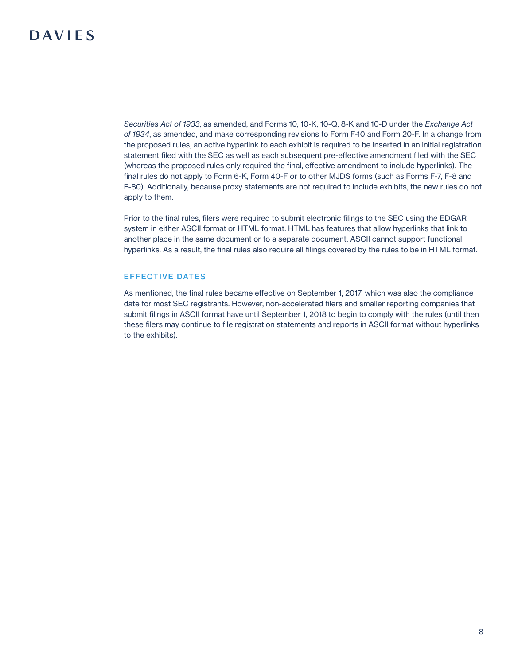*Securities Act of 1933*, as amended, and Forms 10, 10-K, 10-Q, 8-K and 10-D under the *Exchange Act of 1934*, as amended, and make corresponding revisions to Form F-10 and Form 20-F. In a change from the proposed rules, an active hyperlink to each exhibit is required to be inserted in an initial registration statement filed with the SEC as well as each subsequent pre-effective amendment filed with the SEC (whereas the proposed rules only required the final, effective amendment to include hyperlinks). The final rules do not apply to Form 6-K, Form 40-F or to other MJDS forms (such as Forms F-7, F-8 and F-80). Additionally, because proxy statements are not required to include exhibits, the new rules do not apply to them.

Prior to the final rules, filers were required to submit electronic filings to the SEC using the EDGAR system in either ASCII format or HTML format. HTML has features that allow hyperlinks that link to another place in the same document or to a separate document. ASCII cannot support functional hyperlinks. As a result, the final rules also require all filings covered by the rules to be in HTML format.

## EFFECTIVE DATES

As mentioned, the final rules became effective on September 1, 2017, which was also the compliance date for most SEC registrants. However, non-accelerated filers and smaller reporting companies that submit filings in ASCII format have until September 1, 2018 to begin to comply with the rules (until then these filers may continue to file registration statements and reports in ASCII format without hyperlinks to the exhibits).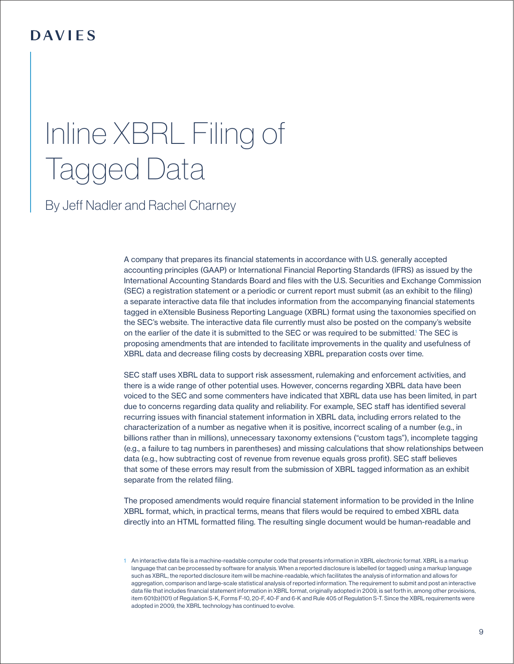# <span id="page-8-0"></span>Inline XBRL Filing of Tagged Data

By [Jeff Nadler](https://www.dwpv.com/en/People/Jeffrey-Nadler) and Rachel Charney

A company that prepares its financial statements in accordance with U.S. generally accepted accounting principles (GAAP) or International Financial Reporting Standards (IFRS) as issued by the International Accounting Standards Board and files with the U.S. Securities and Exchange Commission (SEC) a registration statement or a periodic or current report must submit (as an exhibit to the filing) a separate interactive data file that includes information from the accompanying financial statements tagged in eXtensible Business Reporting Language (XBRL) format using the taxonomies specified on the SEC's website. The interactive data file currently must also be posted on the company's website on the earlier of the date it is submitted to the SEC or was required to be submitted.<sup>1</sup> The SEC is proposing amendments that are intended to facilitate improvements in the quality and usefulness of XBRL data and decrease filing costs by decreasing XBRL preparation costs over time.

SEC staff uses XBRL data to support risk assessment, rulemaking and enforcement activities, and there is a wide range of other potential uses. However, concerns regarding XBRL data have been voiced to the SEC and some commenters have indicated that XBRL data use has been limited, in part due to concerns regarding data quality and reliability. For example, SEC staff has identified several recurring issues with financial statement information in XBRL data, including errors related to the characterization of a number as negative when it is positive, incorrect scaling of a number (e.g., in billions rather than in millions), unnecessary taxonomy extensions ("custom tags"), incomplete tagging (e.g., a failure to tag numbers in parentheses) and missing calculations that show relationships between data (e.g., how subtracting cost of revenue from revenue equals gross profit). SEC staff believes that some of these errors may result from the submission of XBRL tagged information as an exhibit separate from the related filing.

The proposed amendments would require financial statement information to be provided in the Inline XBRL format, which, in practical terms, means that filers would be required to embed XBRL data directly into an HTML formatted filing. The resulting single document would be human-readable and

<sup>1</sup> An interactive data file is a machine-readable computer code that presents information in XBRL electronic format. XBRL is a markup language that can be processed by software for analysis. When a reported disclosure is labelled (or tagged) using a markup language such as XBRL, the reported disclosure item will be machine-readable, which facilitates the analysis of information and allows for aggregation, comparison and large-scale statistical analysis of reported information. The requirement to submit and post an interactive data file that includes financial statement information in XBRL format, originally adopted in 2009, is set forth in, among other provisions, item 601(b)(101) of Regulation S-K, Forms F-10, 20-F, 40-F and 6-K and Rule 405 of Regulation S-T. Since the XBRL requirements were adopted in 2009, the XBRL technology has continued to evolve.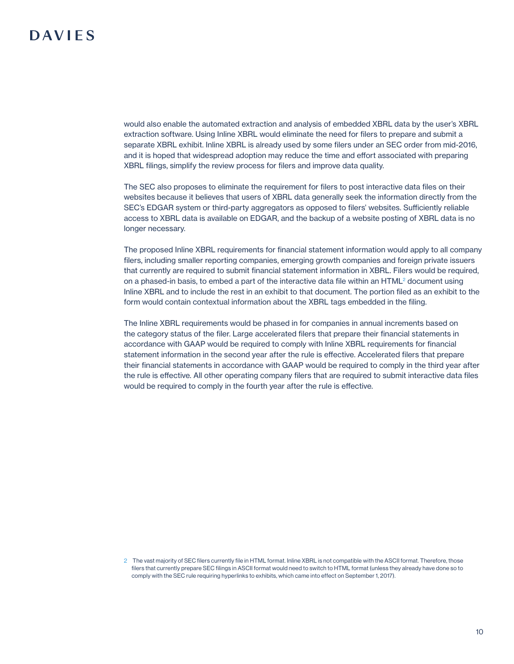would also enable the automated extraction and analysis of embedded XBRL data by the user's XBRL extraction software. Using Inline XBRL would eliminate the need for filers to prepare and submit a separate XBRL exhibit. Inline XBRL is already used by some filers under an SEC order from mid-2016, and it is hoped that widespread adoption may reduce the time and effort associated with preparing XBRL filings, simplify the review process for filers and improve data quality.

The SEC also proposes to eliminate the requirement for filers to post interactive data files on their websites because it believes that users of XBRL data generally seek the information directly from the SEC's EDGAR system or third-party aggregators as opposed to filers' websites. Sufficiently reliable access to XBRL data is available on EDGAR, and the backup of a website posting of XBRL data is no longer necessary.

The proposed Inline XBRL requirements for financial statement information would apply to all company filers, including smaller reporting companies, emerging growth companies and foreign private issuers that currently are required to submit financial statement information in XBRL. Filers would be required, on a phased-in basis, to embed a part of the interactive data file within an HTML<sup>2</sup> document using Inline XBRL and to include the rest in an exhibit to that document. The portion filed as an exhibit to the form would contain contextual information about the XBRL tags embedded in the filing.

The Inline XBRL requirements would be phased in for companies in annual increments based on the category status of the filer. Large accelerated filers that prepare their financial statements in accordance with GAAP would be required to comply with Inline XBRL requirements for financial statement information in the second year after the rule is effective. Accelerated filers that prepare their financial statements in accordance with GAAP would be required to comply in the third year after the rule is effective. All other operating company filers that are required to submit interactive data files would be required to comply in the fourth year after the rule is effective.

<sup>2</sup> The vast majority of SEC filers currently file in HTML format. Inline XBRL is not compatible with the ASCII format. Therefore, those filers that currently prepare SEC filings in ASCII format would need to switch to HTML format (unless they already have done so to comply with the SEC rule requiring hyperlinks to exhibits, which came into effect on September 1, 2017).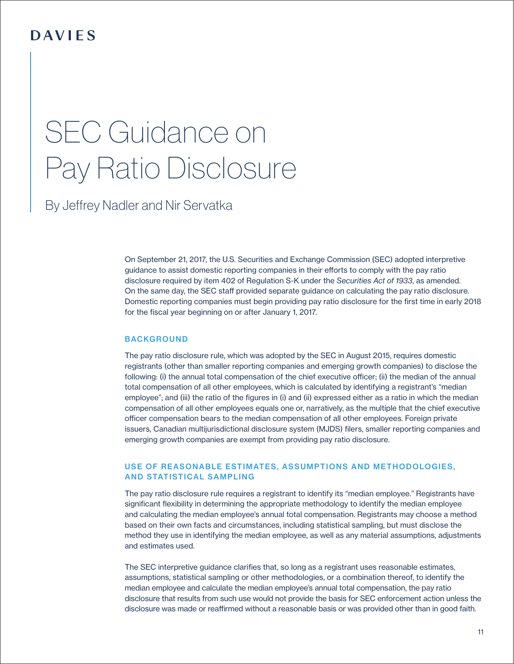# <span id="page-10-0"></span>SEC Guidance on Pay Ratio Disclosure

By [Jeffrey Nadler](https://www.dwpv.com/en/People/Jeffrey-Nadler) and [Nir Servatka](http://Nir Servatka)

On September 21, 2017, the U.S. Securities and Exchange Commission (SEC) adopted interpretive guidance to assist domestic reporting companies in their efforts to comply with the pay ratio disclosure required by item 402 of Regulation S-K under the *Securities Act of 1933*, as amended. On the same day, the SEC staff provided separate guidance on calculating the pay ratio disclosure. Domestic reporting companies must begin providing pay ratio disclosure for the first time in early 2018 for the fiscal year beginning on or after January 1, 2017.

#### **BACKGROUND**

The pay ratio disclosure rule, which was adopted by the SEC in August 2015, requires domestic registrants (other than smaller reporting companies and emerging growth companies) to disclose the following: (i) the annual total compensation of the chief executive officer; (ii) the median of the annual total compensation of all other employees, which is calculated by identifying a registrant's "median employee"; and (iii) the ratio of the figures in (i) and (ii) expressed either as a ratio in which the median compensation of all other employees equals one or, narratively, as the multiple that the chief executive officer compensation bears to the median compensation of all other employees. Foreign private issuers, Canadian multijurisdictional disclosure system (MJDS) filers, smaller reporting companies and emerging growth companies are exempt from providing pay ratio disclosure.

## USE OF REASONABLE ESTIMATES, ASSUMPTIONS AND METHODOLOGIES, AND STATISTICAL SAMPLING

The pay ratio disclosure rule requires a registrant to identify its "median employee." Registrants have significant flexibility in determining the appropriate methodology to identify the median employee and calculating the median employee's annual total compensation. Registrants may choose a method based on their own facts and circumstances, including statistical sampling, but must disclose the method they use in identifying the median employee, as well as any material assumptions, adjustments and estimates used.

The SEC interpretive guidance clarifies that, so long as a registrant uses reasonable estimates, assumptions, statistical sampling or other methodologies, or a combination thereof, to identify the median employee and calculate the median employee's annual total compensation, the pay ratio disclosure that results from such use would not provide the basis for SEC enforcement action unless the disclosure was made or reaffirmed without a reasonable basis or was provided other than in good faith.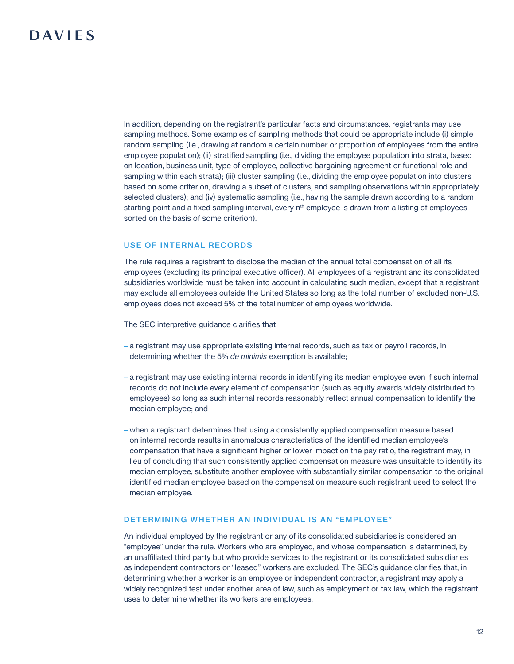In addition, depending on the registrant's particular facts and circumstances, registrants may use sampling methods. Some examples of sampling methods that could be appropriate include (i) simple random sampling (i.e., drawing at random a certain number or proportion of employees from the entire employee population); (ii) stratified sampling (i.e., dividing the employee population into strata, based on location, business unit, type of employee, collective bargaining agreement or functional role and sampling within each strata); (iii) cluster sampling (i.e., dividing the employee population into clusters based on some criterion, drawing a subset of clusters, and sampling observations within appropriately selected clusters); and (iv) systematic sampling (i.e., having the sample drawn according to a random starting point and a fixed sampling interval, every n<sup>th</sup> employee is drawn from a listing of employees sorted on the basis of some criterion).

#### USE OF INTERNAL RECORDS

The rule requires a registrant to disclose the median of the annual total compensation of all its employees (excluding its principal executive officer). All employees of a registrant and its consolidated subsidiaries worldwide must be taken into account in calculating such median, except that a registrant may exclude all employees outside the United States so long as the total number of excluded non-U.S. employees does not exceed 5% of the total number of employees worldwide.

The SEC interpretive guidance clarifies that

- a registrant may use appropriate existing internal records, such as tax or payroll records, in determining whether the 5% *de minimis* exemption is available;
- a registrant may use existing internal records in identifying its median employee even if such internal records do not include every element of compensation (such as equity awards widely distributed to employees) so long as such internal records reasonably reflect annual compensation to identify the median employee; and
- when a registrant determines that using a consistently applied compensation measure based on internal records results in anomalous characteristics of the identified median employee's compensation that have a significant higher or lower impact on the pay ratio, the registrant may, in lieu of concluding that such consistently applied compensation measure was unsuitable to identify its median employee, substitute another employee with substantially similar compensation to the original identified median employee based on the compensation measure such registrant used to select the median employee.

#### DETERMINING WHETHER AN INDIVIDUAL IS AN "EMPLOYEE"

An individual employed by the registrant or any of its consolidated subsidiaries is considered an "employee" under the rule. Workers who are employed, and whose compensation is determined, by an unaffiliated third party but who provide services to the registrant or its consolidated subsidiaries as independent contractors or "leased" workers are excluded. The SEC's guidance clarifies that, in determining whether a worker is an employee or independent contractor, a registrant may apply a widely recognized test under another area of law, such as employment or tax law, which the registrant uses to determine whether its workers are employees.